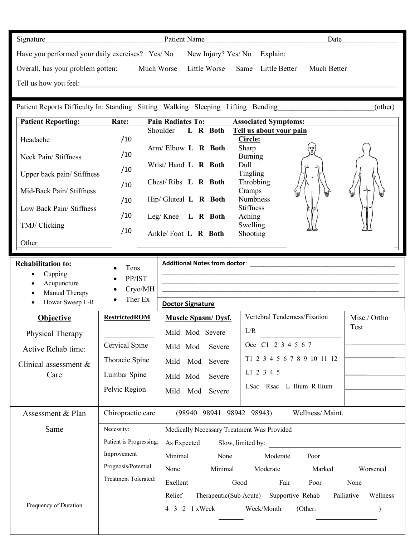| Signature                                       | Patient Name            |                             |  |                    | Date        |
|-------------------------------------------------|-------------------------|-----------------------------|--|--------------------|-------------|
| Have you performed your daily exercises? Yes/No |                         | New Injury? Yes/No Explain: |  |                    |             |
| Overall, has your problem gotten:               | Much Worse Little Worse |                             |  | Same Little Better | Much Better |
| Tell us how you feel:                           |                         |                             |  |                    |             |

Patient Reports Difficulty In: Standing Sitting Walking Sleeping Lifting Bending\_\_\_\_\_\_\_\_\_\_\_\_\_\_\_\_\_\_\_\_\_\_\_\_\_\_(other)

| <b>Patient Reporting:</b>  | Rate: | <b>Pain Radiates To:</b> | <b>Associated Symptoms:</b>                                                          |
|----------------------------|-------|--------------------------|--------------------------------------------------------------------------------------|
|                            |       | L R Both<br>Shoulder     | Tell us about your pain                                                              |
| Headache                   | /10   |                          | Circle:                                                                              |
|                            |       | Arm/Elbow L R Both       | Sharp<br>تقييما                                                                      |
| Neck Pain/Stiffness        | /10   |                          | <b>Burning</b>                                                                       |
|                            | /10   | Wrist/Hand L R Both      | Dull<br>١Ľ                                                                           |
| Upper back pain/ Stiffness |       |                          | Tingling                                                                             |
|                            | /10   | Chest/Ribs $L \ R$ Both  | Throbbing                                                                            |
| Mid-Back Pain/Stiffness    |       |                          | $\overline{\phantom{a}}$<br>Cramps<br>₩<br>$4_{\text{III}}$<br>$\sqrt{\mathbb{d}^2}$ |
|                            | /10   | $Hip/Gluted$ L R Both    | <b>Numbness</b>                                                                      |
| Low Back Pain/Stiffness    |       |                          | <b>Stiffness</b>                                                                     |
|                            | /10   | L R Both<br>Leg/ Knee    | Aching                                                                               |
| TMJ/ Clicking              |       |                          | Swelling                                                                             |
|                            | /10   | Ankle/Foot L R Both      | <b>Shooting</b>                                                                      |
| Other                      |       |                          |                                                                                      |

| <b>Rehabilitation to:</b><br>Cupping | Tens                    |                                            |                                                                                                                      |                        |  |
|--------------------------------------|-------------------------|--------------------------------------------|----------------------------------------------------------------------------------------------------------------------|------------------------|--|
| Acupuncture<br>Manual Therapy        | PP/IST<br>Cryo/MH       |                                            | <u> 1989 - Johann John Harry, mars ar yn y brenin y brenin y brenin y brenin y brenin y brenin y brenin y brenin</u> |                        |  |
| Howat Sweep L-R                      | Ther Ex                 | <b>Doctor Signature</b>                    |                                                                                                                      |                        |  |
| <b>Objective</b>                     | <b>RestrictedROM</b>    | <b>Muscle Spasm/Dysf.</b>                  | Vertebral Tenderness/Fixation                                                                                        | Misc./ Ortho           |  |
| Physical Therapy                     |                         | Mild Mod Severe                            | L/R                                                                                                                  | Test                   |  |
| Active Rehab time:                   | Cervical Spine          | Mild Mod<br>Severe                         | Occ C1 2 3 4 5 6 7                                                                                                   |                        |  |
| Clinical assessment $\&$             | Thoracic Spine          | Mild<br>Mod<br>Severe                      | T1 2 3 4 5 6 7 8 9 10 11 12                                                                                          |                        |  |
| Care                                 | Lumbar Spine            | Mild Mod<br>Severe                         | L1 2 3 4 5                                                                                                           |                        |  |
|                                      | Pelvic Region           | Mild<br>Mod<br>Severe                      | LSac Rsac L Ilium R Ilium                                                                                            |                        |  |
|                                      |                         |                                            |                                                                                                                      |                        |  |
| Assessment & Plan                    | Chiropractic care       | (98940 98941 98942 98943)                  | Wellness/Maint.                                                                                                      |                        |  |
| Same                                 | Necessity:              | Medically Necessary Treatment Was Provided |                                                                                                                      |                        |  |
|                                      | Patient is Progressing: | As Expected                                | Slow, limited by:                                                                                                    |                        |  |
|                                      | Improvement             | Minimal<br>None                            | Moderate<br>Poor                                                                                                     |                        |  |
|                                      | Prognosis/Potential     | None<br>Minimal                            | Moderate<br>Marked                                                                                                   | Worsened               |  |
|                                      | Treatment Tolerated:    | Exellent                                   | Fair<br>Good<br>Poor                                                                                                 | None                   |  |
|                                      |                         | Relief<br>Therapeutic(Sub Acute)           | Supportive Rehab                                                                                                     | Palliative<br>Wellness |  |
| Frequency of Duration                |                         | 4 3 2 1 x Week                             | Week/Month<br>(Other:                                                                                                |                        |  |
|                                      |                         |                                            |                                                                                                                      |                        |  |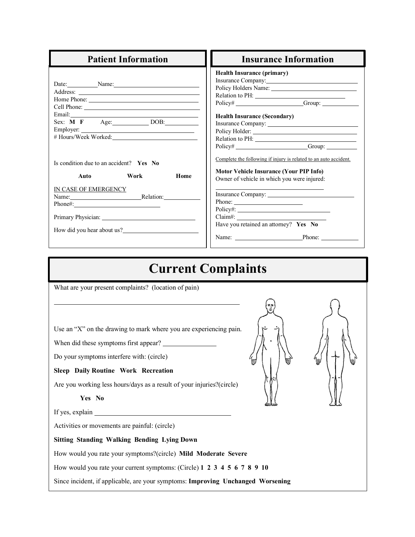| <b>Patient Information</b>                                                                                                                                                                                            | <b>Insurance Information</b>                                                                                                                                                                                                                                                                                                                                                                                    |  |  |
|-----------------------------------------------------------------------------------------------------------------------------------------------------------------------------------------------------------------------|-----------------------------------------------------------------------------------------------------------------------------------------------------------------------------------------------------------------------------------------------------------------------------------------------------------------------------------------------------------------------------------------------------------------|--|--|
| Date: Name: Name:<br>Sex: M F Age: DOB:<br>Is condition due to an accident? Yes No<br><b>Example 18</b> Work<br>Home<br>Auto<br>IN CASE OF EMERGENCY<br>Name: Relation:<br>$Phone\#:\_$<br>How did you hear about us? | <b>Health Insurance (primary)</b><br>Insurance Company:<br>Relation to PH:<br>Policy# Group:<br><b>Health Insurance (Secondary)</b><br>Policy# Group: Group:<br>Complete the following if injury is related to an auto accident.<br><b>Motor Vehicle Insurance (Your PIP Info)</b><br>Owner of vehicle in which you were injured:<br>Phone: $\qquad \qquad$<br>Claim#:<br>Have you retained an attorney? Yes No |  |  |
| <b>Current Complaints</b>                                                                                                                                                                                             |                                                                                                                                                                                                                                                                                                                                                                                                                 |  |  |
| What are your present complaints? (location of pain)                                                                                                                                                                  |                                                                                                                                                                                                                                                                                                                                                                                                                 |  |  |

Use an "X" on the drawing to mark where you are experiencing pain.

When did these symptoms first appear?

Do your symptoms interfere with: (circle)

#### **Sleep Daily Routine Work Recreation**

Are you working less hours/days as a result of your injuries?(circle)

If yes, explain  $\frac{1}{\sqrt{1-\frac{1}{\sqrt{1-\frac{1}{\sqrt{1-\frac{1}{\sqrt{1-\frac{1}{\sqrt{1-\frac{1}{\sqrt{1-\frac{1}{\sqrt{1-\frac{1}{\sqrt{1-\frac{1}{\sqrt{1-\frac{1}{\sqrt{1-\frac{1}{\sqrt{1-\frac{1}{\sqrt{1-\frac{1}{\sqrt{1-\frac{1}{\sqrt{1-\frac{1}{\sqrt{1-\frac{1}{\sqrt{1-\frac{1}{\sqrt{1-\frac{1}{\sqrt{1-\frac{1}{\sqrt{1-\frac{1}{\sqrt{1-\frac{1}{\sqrt{1-\frac{1}{\sqrt{1-\frac{1}{\$ 

Activities or movements are painful: (circle)

#### **Sitting Standing Walking Bending Lying Down**

How would you rate your symptoms?(circle) **Mild Moderate Severe**

How would you rate your current symptoms: (Circle) **1 2 3 4 5 6 7 8 9 10**

Since incident, if applicable, are your symptoms: **Improving Unchanged Worsening**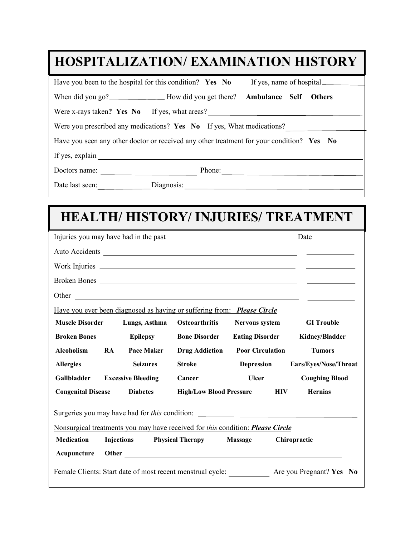| <b>HOSPITALIZATION/ EXAMINATION HISTORY</b>                                               |  |  |  |  |  |
|-------------------------------------------------------------------------------------------|--|--|--|--|--|
| Have you been to the hospital for this condition? Yes No<br>If yes, name of hospital      |  |  |  |  |  |
| When did you go?<br><u>Mow</u> did you get there?<br><b>Ambulance Self Others</b>         |  |  |  |  |  |
| Were x-rays taken? Yes No If yes, what areas?                                             |  |  |  |  |  |
| Were you prescribed any medications? Yes No If yes, What medications?                     |  |  |  |  |  |
| Have you seen any other doctor or received any other treatment for your condition? Yes No |  |  |  |  |  |
| If yes, explain                                                                           |  |  |  |  |  |
| Phone:<br>Doctors name:                                                                   |  |  |  |  |  |
| Date last seen:<br>Diagnosis:                                                             |  |  |  |  |  |

# **HEALTH/ HISTORY/ INJURIES/ TREATMENT**

|                                                                                   | Injuries you may have had in the past |                                                                                                  |                                    | Date                                  |  |  |
|-----------------------------------------------------------------------------------|---------------------------------------|--------------------------------------------------------------------------------------------------|------------------------------------|---------------------------------------|--|--|
|                                                                                   |                                       |                                                                                                  |                                    |                                       |  |  |
|                                                                                   |                                       |                                                                                                  |                                    |                                       |  |  |
|                                                                                   |                                       |                                                                                                  |                                    |                                       |  |  |
|                                                                                   |                                       |                                                                                                  |                                    |                                       |  |  |
|                                                                                   |                                       | Have you ever been diagnosed as having or suffering from: <b>Please Circle</b>                   |                                    |                                       |  |  |
| <b>Muscle Disorder</b>                                                            | Lungs, Asthma                         | <b>Osteoarthritis</b>                                                                            | <b>Nervous system</b>              | <b>GI</b> Trouble                     |  |  |
| <b>Broken Bones</b>                                                               | <b>Epilepsy</b>                       | <b>Bone Disorder</b>                                                                             |                                    | <b>Eating Disorder</b> Kidney/Bladder |  |  |
| Alcoholism RA                                                                     | <b>Pace Maker</b>                     | <b>Drug Addiction</b>                                                                            | <b>Poor Circulation</b>            | <b>Tumors</b>                         |  |  |
| <b>Allergies</b>                                                                  | <b>Seizures</b>                       | <b>Stroke</b>                                                                                    |                                    | Depression Ears/Eyes/Nose/Throat      |  |  |
| <b>Gallbladder</b>                                                                | <b>Excessive Bleeding</b>             | Cancer                                                                                           | <b>Ulcer</b>                       | <b>Coughing Blood</b>                 |  |  |
| <b>Congenital Disease</b>                                                         | <b>Diabetes</b>                       |                                                                                                  | <b>High/Low Blood Pressure HIV</b> | <b>Hernias</b>                        |  |  |
| Surgeries you may have had for this condition: __________________________________ |                                       |                                                                                                  |                                    |                                       |  |  |
| Nonsurgical treatments you may have received for this condition: Please Circle    |                                       |                                                                                                  |                                    |                                       |  |  |
| <b>Medication</b>                                                                 | <b>Injections</b>                     | <b>Physical Therapy</b>                                                                          | <b>Massage</b>                     | Chiropractic                          |  |  |
| Acupuncture                                                                       |                                       |                                                                                                  |                                    |                                       |  |  |
|                                                                                   |                                       | Female Clients: Start date of most recent menstrual cycle: ____________ Are you Pregnant? Yes No |                                    |                                       |  |  |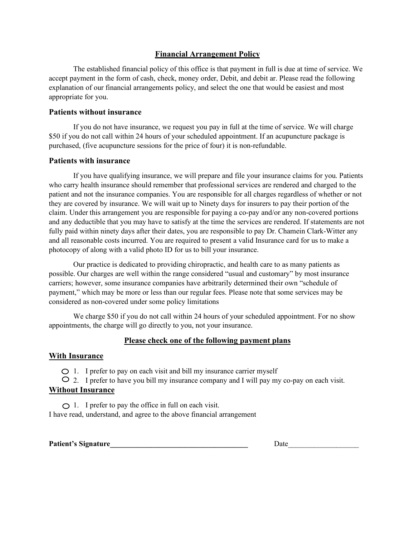#### **Financial Arrangement Policy**

The established financial policy of this office is that payment in full is due at time of service. We accept payment in the form of cash, check, money order, Debit, and debit ar. Please read the following explanation of our financial arrangements policy, and select the one that would be easiest and most appropriate for you.

#### **Patients without insurance**

If you do not have insurance, we request you pay in full at the time of service. We will charge \$50 if you do not call within 24 hours of your scheduled appointment. If an acupuncture package is purchased, (five acupuncture sessions for the price of four) it is non-refundable.

#### **Patients with insurance**

If you have qualifying insurance, we will prepare and file your insurance claims for you. Patients who carry health insurance should remember that professional services are rendered and charged to the patient and not the insurance companies. You are responsible for all charges regardless of whether or not they are covered by insurance. We will wait up to Ninety days for insurers to pay their portion of the claim. Under this arrangement you are responsible for paying a co-pay and/or any non-covered portions and any deductible that you may have to satisfy at the time the services are rendered. If statements are not fully paid within ninety days after their dates, you are responsible to pay Dr. Chamein Clark-Witter any and all reasonable costs incurred. You are required to present a valid Insurance card for us to make a photocopy of along with a valid photo ID for us to bill your insurance.

Our practice is dedicated to providing chiropractic, and health care to as many patients as possible. Our charges are well within the range considered "usual and customary" by most insurance carriers; however, some insurance companies have arbitrarily determined their own "schedule of payment," which may be more or less than our regular fees. Please note that some services may be considered as non-covered under some policy limitations

We charge \$50 if you do not call within 24 hours of your scheduled appointment. For no show appointments, the charge will go directly to you, not your insurance.

#### **Please check one of the following payment plans**

#### **With Insurance**

 $\bigcirc$  1. I prefer to pay on each visit and bill my insurance carrier myself

 $\circ$  2. I prefer to have you bill my insurance company and I will pay my co-pay on each visit.

#### **Without Insurance**

 $\bigcirc$  1. I prefer to pay the office in full on each visit. I have read, understand, and agree to the above financial arrangement

**Patient's Signature** Date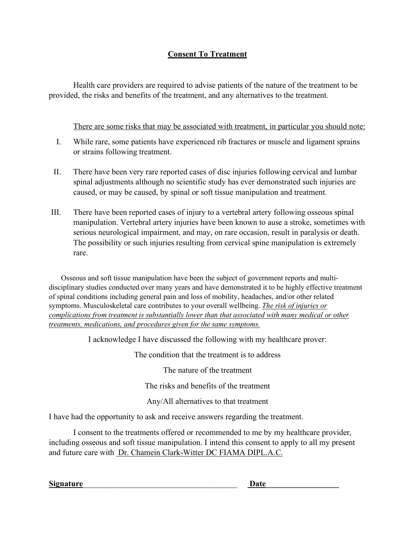## **Consent To Treatment**

Health care providers are required to advise patients of the nature of the treatment to be provided, the risks and benefits of the treatment, and any alternatives to the treatment.

### There are some risks that may be associated with treatment, in particular you should note:

- I. While rare, some patients have experienced rib fractures or muscle and ligament sprains or strains following treatment.
- II. There have been very rare reported cases of disc injuries following cervical and lumbar spinal adjustments although no scientific study has ever demonstrated such injuries are caused, or may be caused, by spinal or soft tissue manipulation and treatment.
- III. There have been reported cases of injury to a vertebral artery following osseous spinal manipulation. Vertebral artery injuries have been known to ause a stroke, sometimes with serious neurological impairment, and may, on rare occasion, result in paralysis or death. The possibility or such injuries resulting from cervical spine manipulation is extremely rare.

Osseous and soft tissue manipulation have been the subject of government reports and multidisciplinary studies conducted over many years and have demonstrated it to be highly effective treatment of spinal conditions including general pain and loss of mobility, headaches, and/or other related symptoms. Musculoskeletal care contributes to your overall wellbeing. *The risk of injuries or complications from treatment is substantially lower than that associated with many medical or other treatments, medications, and procedures given for the same symptoms.*

I acknowledge I have discussed the following with my healthcare prover:

The condition that the treatment is to address

The nature of the treatment

The risks and benefits of the treatment

Any/All alternatives to that treatment

I have had the opportunity to ask and receive answers regarding the treatment.

I consent to the treatments offered or recommended to me by my healthcare provider, including osseous and soft tissue manipulation. I intend this consent to apply to all my present and future care with Dr. Chamein Clark-Witter DC FIAMA DIPL.A.C.

Signature **Date**